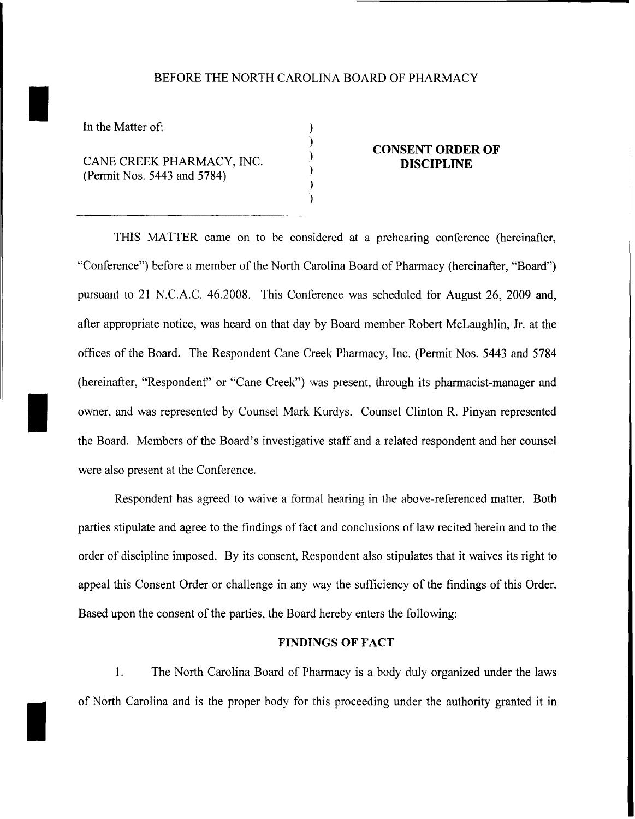### BEFORE THE NORTH CAROLINA BOARD OF PHARMACY

) ) ) ) ) )

In the Matter of:

I

CANE CREEK PHARMACY, INC. (Permit Nos. 5443 and 5784)

#### **CONSENT ORDER OF DISCIPLINE**

THIS MATTER came on to be considered at a prehearing conference (hereinafter, "Conference") before a member of the North Carolina Board of Pharmacy (hereinafter, "Board") pursuant to 21 N.C.A.C. 46.2008. This Conference was scheduled for August 26, 2009 and, after appropriate notice, was heard on that day by Board member Robert McLaughlin, Jr. at the offices of the Board. The Respondent Cane Creek Pharmacy, Inc. (Permit Nos. 5443 and 5784 (hereinafter, "Respondent" or "Cane Creek") was present, through its pharmacist-manager and owner, and was represented by Counsel Mark Kurdys. Counsel Clinton R. Pinyan represented the Board. Members of the Board's investigative staff and a related respondent and her counsel were also present at the Conference.

Respondent has agreed to waive a formal hearing in the above-referenced matter. Both parties stipulate and agree to the findings of fact and conclusions of law recited herein and to the order of discipline imposed. By its consent, Respondent also stipulates that it waives its right to appeal this Consent Order or challenge in any way the sufficiency of the findings of this Order. Based upon the consent of the parties, the Board hereby enters the following:

#### **FINDINGS OF FACT**

1. The North Carolina Board of Phannacy is a body duly organized under the laws of North Carolina and is the proper body for this proceeding under the authority granted it in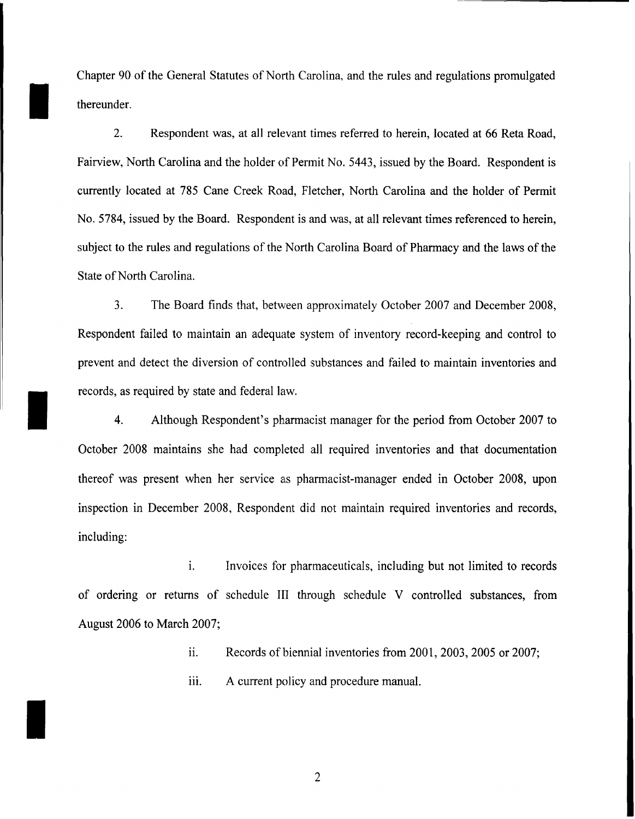Chapter 90 of the General Statutes of North Carolina, and the rules and regulations promulgated thereunder.

2. Respondent was, at all relevant times referred to herein, located at 66 Reta Road, Fairview, North Carolina and the holder of Permit No. 5443, issued by the Board. Respondent is currently located at 785 Cane Creek Road, Fletcher, North Carolina and the holder of Permit No. 5784, issued by the Board. Respondent is and was, at all relevant times referenced to herein, subject to the rules and regulations of the North Carolina Board of Pharmacy and the laws of the State of North Carolina.

3. The Board finds that, between approximately October 2007 and December 2008, Respondent failed to maintain an adequate system of inventory record-keeping and control to prevent and detect the diversion of controlled substances and failed to maintain inventories and records, as required by state and federal law.

I

I

4. Although Respondent's pharmacist manager for the period from October 2007 to October 2008 maintains she had completed all required inventories and that documentation thereof was present when her service as pharmacist-manager ended in October 2008, upon inspection in December 2008, Respondent did not maintain required inventories and records, including:

1. Invoices for pharmaceuticals, including but not limited to records of ordering or returns of schedule III through schedule V controlled substances, from August 2006 to March 2007;

ii. Records of biennial inventories from 2001, 2003, 2005 or 2007;

iii. A current policy and procedure manual.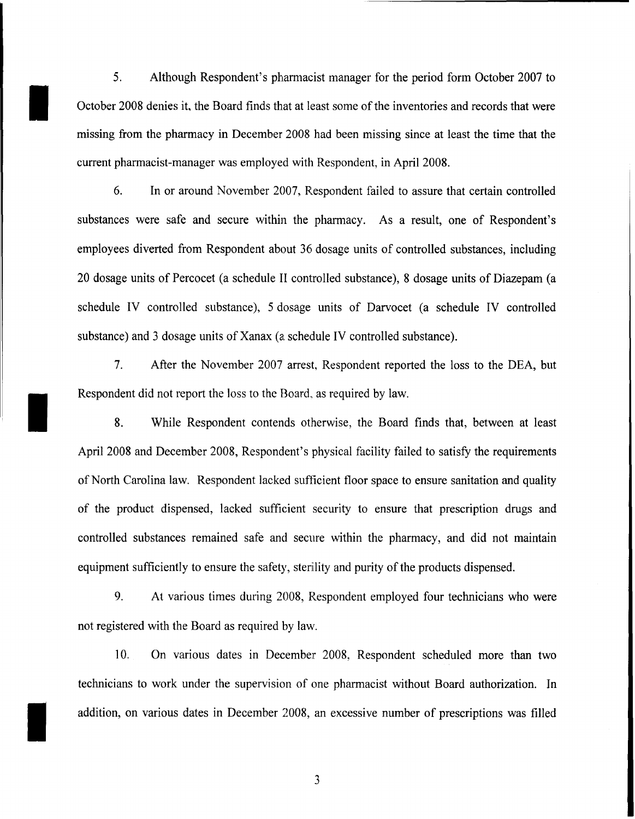5. Although Respondent's pharmaeist manager for the period form October 2007 to October 2008 denies it, the Board finds that at least some of the inventories and records that were missing from the pharmacy in December 2008 had been missing since at least the time that the current pharmacist-manager was employed with Respondent, in April 2008.

I

I

I

6. In or around November 2007, Respondent failed to assure that certain controlled substances were safe and secure within the pharmacy. As a result, one of Respondent's employees diverted from Respondent about 36 dosage units of controlled substances, including 20 dosage units of Percocet (a schedule II controlled substance), 8 dosage units of Diazepam (a schedule IV controlled substance), 5 dosage units of Darvocet (a schedule IV controlled substance) and 3 dosage units of Xanax (a schedule IV controlled substance).

7. After the November 2007 arrest, Respondent reported the loss to the DEA, but Respondent did not report the loss to the Board, as required by law.

8. While Respondent contends otherwise, the Board finds that, between at least April 2008 and December 2008, Respondent's physical facility failed to satisfy the requirements of North Carolina law. Respondent lacked sufficient floor space to ensure sanitation and quality of the product dispensed, lacked sufficient security to ensure that prescription drugs and controlled substances remained safe and secure within the pharmacy, and did not maintain equipment sufficiently to ensure the safety, sterility and purity of the products dispensed.

9. At various times during 2008, Respondent employed four technicians who were not registered with the Board as required by law.

10. On various dates in December 2008, Respondent scheduled more than two technicians to work under the supervision of one pharmacist without Board authorization. In addition, on various dates in December 2008, an excessive number of prescriptions was filled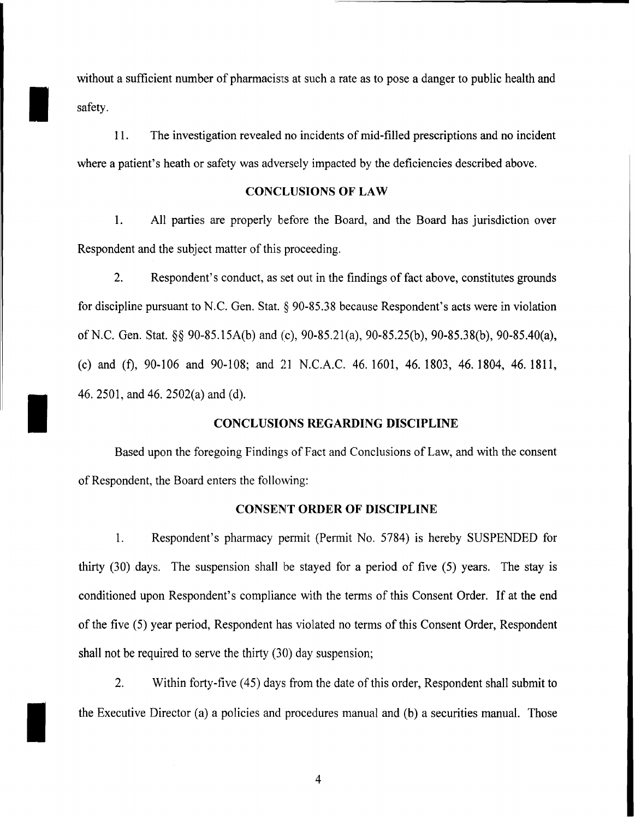without a sufficient number of pharmacists at such a rate as to pose a danger to public health and safety.

11. The investigation revealed no incidents of mid-filled prescriptions and no incident where a patient's heath or safety was adversely impacted by the deficiencies described above.

#### **CONCLUSIONS OF LAW**

1. All parties are properly before the Board, and the Board has jurisdiction over Respondent and the subject matter of this proceeding.

2. Respondent's conduct, as set out in the findings of fact above, constitutes grounds for discipline pursuant to N.C. Gen. Stat.  $\S$  90-85.38 because Respondent's acts were in violation of N.C. Gen. Stat. §§ 90-85. 15A(b) and (c), 90-85.21(a), 90-85.25(b), 90-85.38(b), 90-85.40(a), (c) and (f),  $90-106$  and  $90-108$ ; and 21 N.C.A.C. 46.1601, 46.1803, 46.1804, 46.1811, 46.2501, and 46. 2502(a) and (d).

## **CONCLUSIONS REGARDING DISCIPLINE**

Based upon the foregoing Findings of Fact and Conclusions of Law, and with the consent of Respondent, the Board enters the following:

I

I

### CONSENT **ORDER OF DISCIPLINE**

1. Respondent's pharmacy permit (Permit No. 5784) is hereby SUSPENDED for thirty (30) days. The suspension shall be stayed for a period of five (5) years. The stay is conditioned upon Respondent's compliance with the terms of this Consent Order. If at the end of the five (5) year period, Respondent has violated no terms of this Consent Order, Respondent shall not be required to serve the thirty (30) day suspension;

2. Within forty-five (45) days from the date of this order, Respondent shall submit to the Executive Director (a) a policies and procedures manual and (b) a securities manual. Those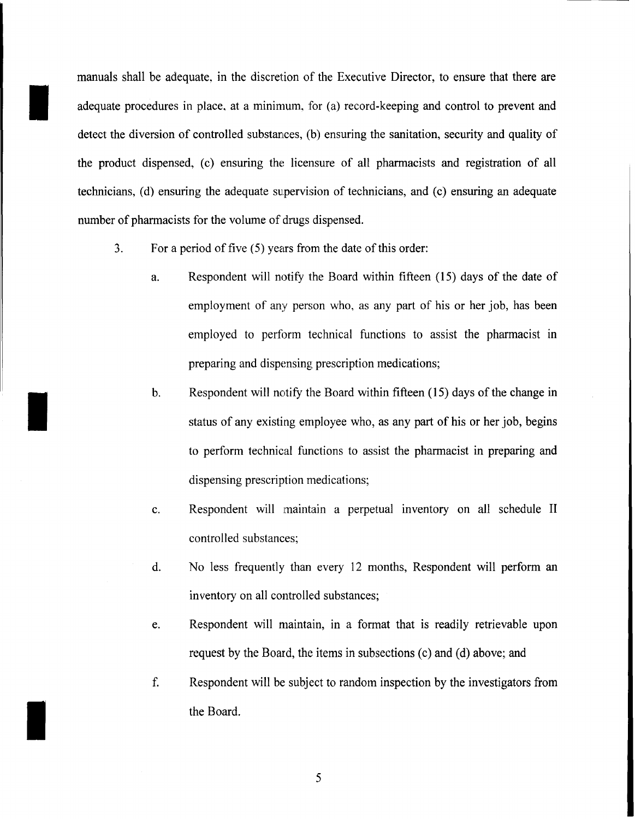manuals shall be adequate, in the discretion of the Executive Director, to ensure that there are adequate procedures in place, at a minimum, for (a) record-keeping and control to prevent and detect the diversion of controlled substances, (b) ensuring the sanitation, security and quality of the product dispensed, (c) ensuring the licensure of all pharmacists and registration of all technicians, (d) ensuring the adequate supervision of technicians, and (c) ensuring an adequate number of pharmacists for the volume of drugs dispensed.

- 3. For a period of five  $(5)$  years from the date of this order:
	- a. Respondent will notify the Board within fifteen (15) days of the date of employment of any person who, as any part of his or her job, has been employed to perform technical functions to assist the pharmacist in preparing and dispensing prescription medications;
- b. Respondent will notify the Board within fifteen (15) days of the change in status of any existing employee who, as any part of his or her job, begins status of any existing employee who, as any part of his or her job, begins to perform technical functions to assist the pharmacist in preparing and dispensing prescription medications;
	- c. Respondent will maintain a perpetual inventory on all schedule II controlled substances;
	- d. No less frequently than every 12 months, Respondent will perform an inventory on all controlled substances;
	- e. Respondent will maintain, in a format that is readily retrievable upon request by the Board, the items in subsections (c) and (d) above; and
	- f. Respondent will be subject to random inspection by the investigators from the Board.

5

I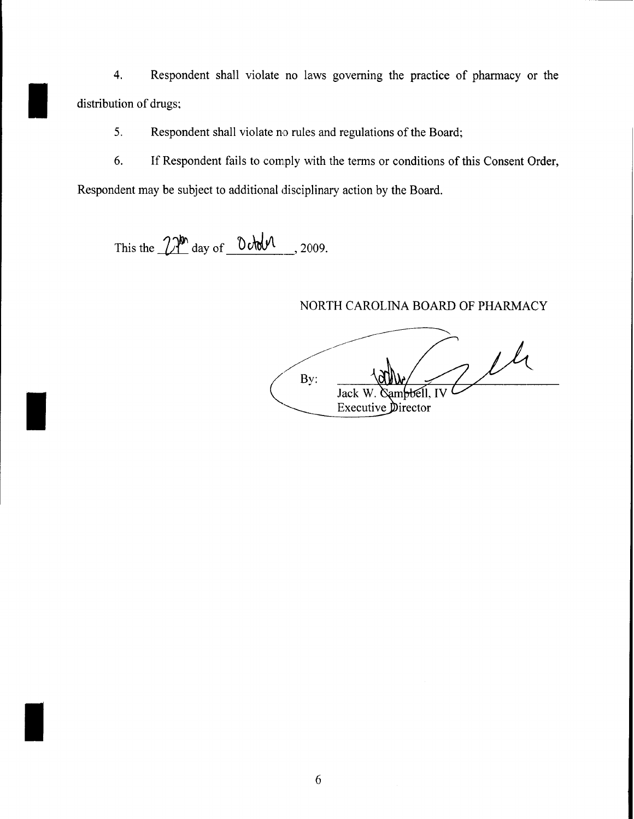4. Respondent shall violate no laws governing the practice of pharmacy or the distribution of drugs;

5. Respondent shall violate no rules and regulations of the Board;

6. If Respondent fails to comply with the terms or conditions of this Consent Order,

Respondent may be subject to additional disciplinary action by the Board.

This the  $2\pi$ <sup>bh</sup> day of  $0$  order  $\mu$ , 2009.

I

I

# NORTH CAROLINA BOARD OF PHARMACY

7 th By: ambbell, IV Jack W. Executive Director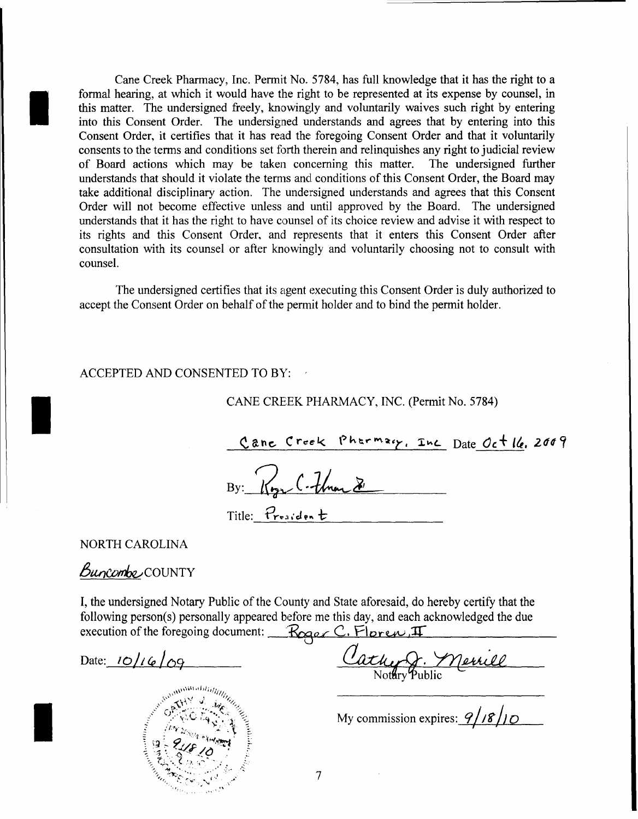Cane Creek Pharmacy, Inc. Permit No. 5784, has full knowledge that it has the right to a formal hearing, at which it would have the right to be represented at its expense by counsel, in this matter. The undersigned freely, knowingly and voluntarily waives such right by entering into this Consent Order. The undersigned understands and agrees that by entering into this Consent Order, it certifies that it has read the foregoing Consent Order and that it voluntarily consents to the terms and conditions set forth therein and relinquishes any right to judicial review of Board actions which may be taken concerning this matter. The undersigned further understands that should it violate the terms and conditions of this Consent Order, the Board may take additional disciplinary action. The undersigned understands and agrees that this Consent Order will not become effective unless and until approved by the Board. The undersigned understands that it has the right to have counsel of its choice review and advise it with respect to its rights and this Consent Order, and represents that it enters this Consent Order after consultation with its counsel or after knowingly and voluntarily choosing not to consult with counsel.

The undersigned certifies that its agent executing this Consent Order is duly authorized to accept the Consent Order on behalf of the permit holder and to bind the permit holder.

## ACCEPTED AND CONSENTED TO BY:

## CANE CREEK PHARMACY, INC. (Permit No. 5784)

Cane Creek Pharmary, Inc Date Oct 16. 2009 By: Royal Than  $\chi$ Title: President

**NORTH CAROLINA** 

Buncombe COUNTY

I, the undersigned Notary Public of the County and State aforesaid, do hereby certify that the following person(s) personally appeared before me this day, and each acknowledged the due execution of the foregoing document: Roger C. Floren, II

Date:  $10/16/09$ 



Cathy J. Merrill

My commission expires:  $9/18/10$